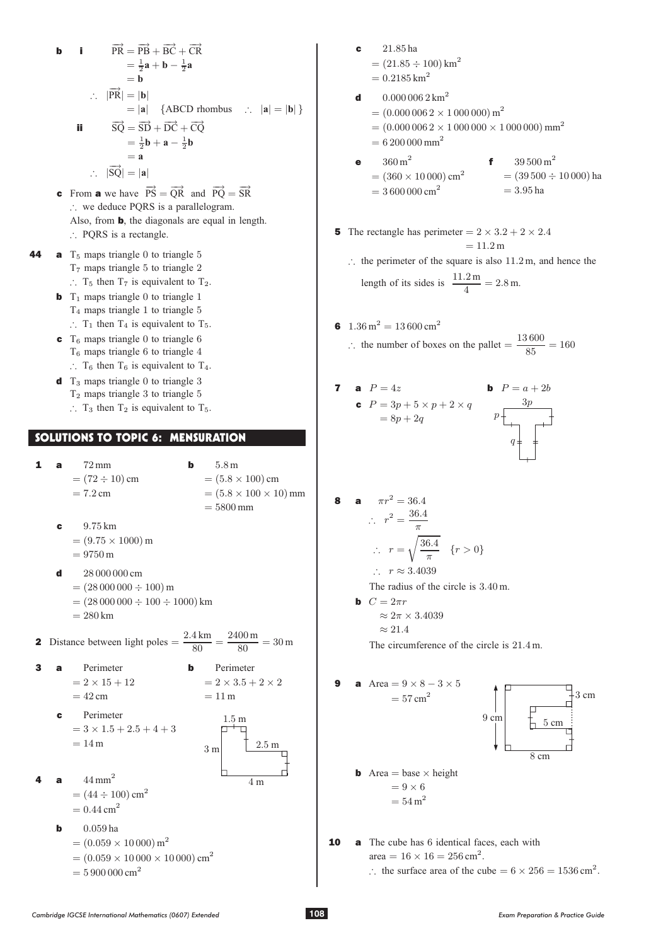**b**  
\n**i** 
$$
\overrightarrow{PR} = \overrightarrow{PB} + \overrightarrow{BC} + \overrightarrow{CR}
$$
  
\n $= \frac{1}{2}a + b - \frac{1}{2}a$   
\n $= b$   
\n $\therefore |\overrightarrow{PR}| = |\mathbf{b}|$   
\n $= |\mathbf{a}| \{ABCD rhombus \therefore |\mathbf{a}| = |\mathbf{b}|\}$   
\n**ii**  $\overrightarrow{SQ} = \overrightarrow{SD} + \overrightarrow{DC} + \overrightarrow{CQ}$   
\n $= \frac{1}{2}\mathbf{b} + \mathbf{a} - \frac{1}{2}\mathbf{b}$   
\n $= \mathbf{a}$   
\n $\therefore |\overrightarrow{SQ}| = |\mathbf{a}|$ 

- **c** From **a** we have  $\overrightarrow{PS} = \overrightarrow{QR}$  and  $\overrightarrow{PQ} = \overrightarrow{SR}$  $\therefore$  we deduce PORS is a parallelogram. Also, from b, the diagonals are equal in length. : PQRS is a rectangle.
- 44 **a**  $T_5$  maps triangle 0 to triangle 5  $T<sub>7</sub>$  maps triangle 5 to triangle 2  $\therefore$  T<sub>5</sub> then T<sub>7</sub> is equivalent to T<sub>2</sub>.
	- **b**  $T_1$  maps triangle 0 to triangle 1 <sup>T</sup>4 maps triangle <sup>1</sup> to triangle <sup>5</sup>
		- $\therefore$  T<sub>1</sub> then T<sub>4</sub> is equivalent to T<sub>5</sub>.
	- $\epsilon$  T<sub>6</sub> maps triangle 0 to triangle 6  $T_6$  maps triangle 6 to triangle 4  $\therefore$  T<sub>6</sub> then T<sub>6</sub> is equivalent to T<sub>4</sub>.
	- $\mathbf d$  T<sub>3</sub> maps triangle 0 to triangle 3  $T_2$  maps triangle 3 to triangle 5
		- $\therefore$  T<sub>3</sub> then T<sub>2</sub> is equivalent to T<sub>5</sub>.

## SOLUTIONS TO TOPIC 6: MENSURATION

**1 a**  $72 \text{ mm}$  $= (72 \div 10)$  cm  $= 7.2$  cm **b**  $5.8 \text{ m}$  $= (5.8 \times 100)$  cm  $= (5.8 \times 100 \times 10)$  mm  $= 5800$  mm

- **c** 9.75 km
	- $=(9.75 \times 1000) \text{ m}$ <br> $(2750 \text{ m})$
	- $= 9750 m$
- d 28 000 000 cm
	- $= (28000000 \div 100)$  m
	- $=(28000000 \div 100 \div 1000)$  km
	- $= 280$  km

2 Distance between light poles = 
$$
\frac{2.4 \text{ km}}{80} = \frac{2400 \text{ m}}{80} = 30 \text{ m}
$$

- 3 a Perimeter
- $= 2 \times 3.5 + 2 \times 2$  $= 11 m$

**b** Perimeter

 $1.5<sub>m</sub>$ 

 $\frac{3 \text{ m}}{2.5 \text{ m}}$ 

4 m

 $= 42 \text{ cm}$ Perimeter  $= 3 \times 1.5 + 2.5 + 4 + 3$  $= 14 m$ 

4 **a** 
$$
44 \text{ mm}^2
$$

- $=(44 \div 100)$  cm<sup>2</sup>
- $= 0.44$  cm<sup>2</sup>
- **b**  $0.059$  ha
	- $= (0.059 \times 10000) \,\text{m}^2$

$$
= (0.059 \times 10\,000 \times 10\,000) \text{ cm}^2
$$
  
5,000,000,  $\frac{2}{3}$ 

 $= 5900000 \text{ cm}^2$ 

- <sup>c</sup> 21:85 ha  $=(21.85 \div 100)$  km<sup>2</sup>  $= 0.2185$  km<sup>2</sup>
- **d**  $0.000\,006\,2\,\text{km}^2$  $= (0.000\,006\,2\times1\,000\,000)\,\text{m}^2$ 
	- $= (0.000\,006\,2\times1\,000\,000\times1\,000\,000)\,mm^2$
	- $= 6200 000$  mm<sup>2</sup>
- **e**  $360 \text{ m}^2$  $= (360 \times 10000)$  cm<sup>2</sup>  $= 3600 000$  cm<sup>2</sup> f  $39500 \text{ m}^2$  $= (39500 \div 10000)$  ha  $= 3.95$  ha
- 5 The rectangle has perimeter  $= 2 \times 3.2 + 2 \times 2.4$  $= 11.2 m$ 
	- $\therefore$  the perimeter of the square is also 11.2 m, and hence the length of its sides is  $\frac{11.2 \text{ m}}{4} = 2.8 \text{ m}.$
- 6  $1.36 \text{ m}^2 = 13600 \text{ cm}^2$ : the number of boxes on the pallet  $=$   $\frac{130000}{85}$  = 160

**7 a** 
$$
P = 4z
$$
  
\n**b**  $P = a + 2b$   
\n**c**  $P = 3p + 5 \times p + 2 \times q$   
\n $= 8p + 2q$   
\n**b**  $P = a + 2b$ 

$$
p \begin{array}{c}\n\phantom{p}\phantom{p}3p \\
\phantom{p}\phantom{p}\phantom{p}q \end{array}
$$

8 **a** 
$$
\pi r^2 = 36.4
$$

$$
\therefore r^2 = \frac{36.4}{\pi}
$$

$$
\therefore r = \sqrt{\frac{36.4}{\pi}} \quad \{r > 0\}
$$

$$
\therefore r \approx 3.4039
$$

The radius of the circle is  $3.40$  m.

**b**  $C = 2\pi r$ 

$$
\approx 2\pi \times 3.4039
$$

 $\approx 21.4$ The circumference of the circle is  $21.4$  m.

9 **a** Area = 
$$
9 \times 8 - 3 \times 5
$$
  
\n=  $57 \text{ cm}^2$   
\n9 cm  
\n9 cm  
\n8 cm  
\n8 cm  
\n8 cm  
\n8 cm  
\n8 cm  
\n8 cm

10 a The cube has 6 identical faces, each with area =  $16 \times 16 = 256$  cm<sup>2</sup>.

 $\therefore$  the surface area of the cube = 6  $\times$  256 = 1536 cm<sup>2</sup>.

3 cm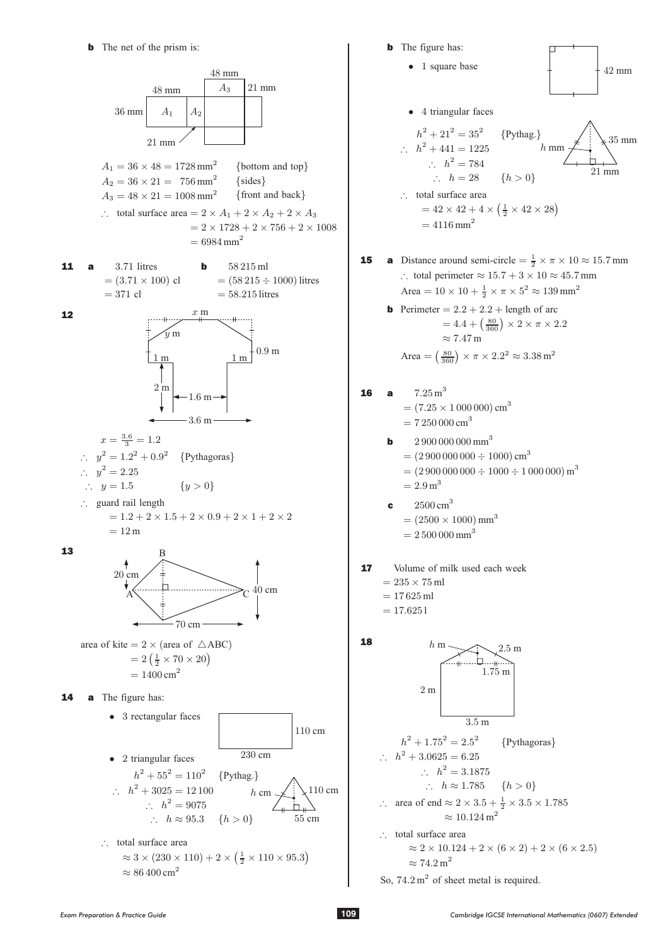

$$
\approx 3 \times (250 \times 110) + 2 \times
$$
  

$$
\approx 86\,400 \text{ cm}^2
$$

**b** The figure has: • 1 square base • 4 triangular faces  $h^2 + 21^2 = 35^2$  {Pythag.}  $\therefore$   $h^2 + 441 = 1225$  $\therefore h^2 = 784$  $\therefore$   $h = 28$   $\{h > 0\}$  $\therefore$  total surface area  $= 42 \times 42 + 4 \times (\frac{1}{2} \times 42 \times 28)$  $= 4116$  mm<sup>2</sup> **16 a**  $7.25 \text{ m}^3$  $=(7.25 \times 1000000)$  cm<sup>3</sup>  $= 7250000$  cm<sup>3</sup>  $2900000000$  mm<sup>3</sup>  $= (2900000000 \div 1000)$  cm<sup>3</sup>  $= (2900000000 \div 1000 \div 1000000) \text{ m}^3$  $= 2.9 \,\mathrm{m}^3$ **c**  $2500 \text{ cm}^3$  $= (2500 \times 1000)$  mm<sup>3</sup>  $= 2500 000$  mm<sup>3</sup> 17 Volume of milk used each week  $= 235 \times 75$  ml  $= 17625$  ml  $= 17.6251$ 42 mm 35 mm 21 mm h mm **15 a** Distance around semi-circle  $=\frac{1}{2} \times \pi \times 10 \approx 15.7$  mm ∴ total perimeter  $\approx 15.7 + 3 \times 10 \approx 45.7$  mm Area =  $10 \times 10 + \frac{1}{2} \times \pi \times 5^2 \approx 139 \,\text{mm}^2$ **b** Perimeter  $= 2.2 + 2.2 + \text{length of arc}$  $= 4.4 + \left(\frac{80}{360}\right) \times 2 \times \pi \times 2.2$  $\approx 7.47 \,\mathrm{m}$ Area =  $\left(\frac{80}{360}\right) \times \pi \times 2.2^2 \approx 3.38 \,\text{m}^2$ 

18

$$
h \text{ m} \underbrace{\hspace{1cm}}_{\text{4}} \underbrace{\hspace{1cm}}_{\text{1.75 m}}
$$
\n
$$
2 \text{ m} \underbrace{\hspace{1cm}}_{\text{3.5 m}}
$$

 $h^2 + 1.75^2 = 2.5^2$  {Pythagoras}  $h^2 + 3.0625 = 6.25$  $\therefore$   $h^2 = 3.1875$  $\therefore$   $h \approx 1.785$   $\{h > 0\}$ 

∴ area of end 
$$
\approx 2 \times 3.5 + \frac{1}{2} \times 3.5 \times 1.785
$$
  
\n $\approx 10.124 \text{ m}^2$   
\n∴ total surface area

$$
\approx 2 \times 10.124 + 2 \times (6 \times 2) + 2 \times (6 \times 2.5)
$$
  

$$
\approx 74.2 \text{ m}^2
$$

So,  $74.2 \text{ m}^2$  of sheet metal is required.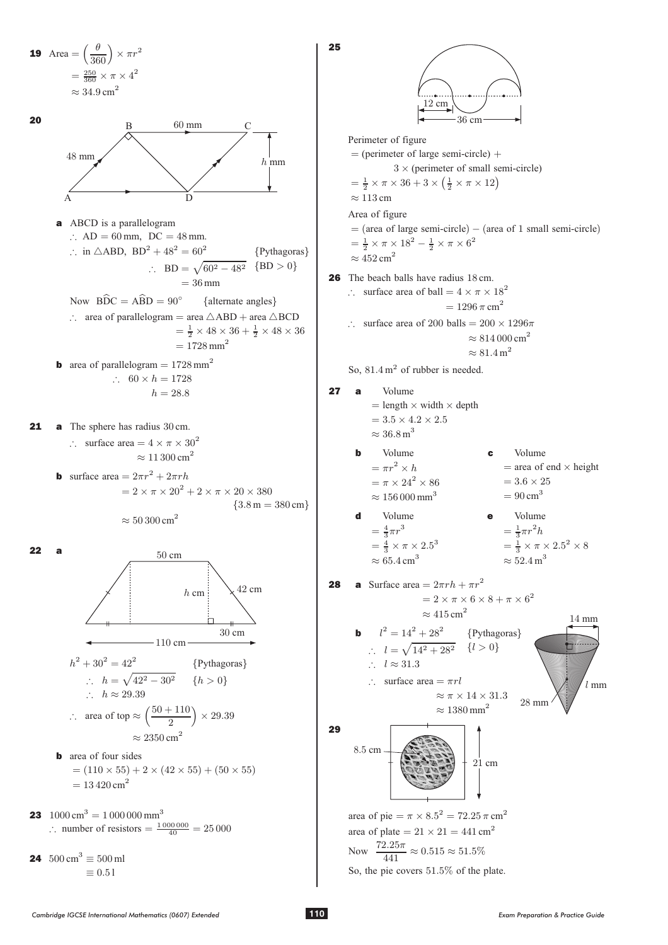<sup>19</sup> Area = ³ µ 360´ £ ¼r<sup>2</sup> = <sup>250</sup> 360 £ <sup>¼</sup> £ <sup>4</sup><sup>2</sup> ¼ 34:9 cm<sup>2</sup> 20 a ABCD is a parallelogram ) AD = 60 mm, DC = 48 mm. ) in 4ABD, BD<sup>2</sup> + 48<sup>2</sup> = 60<sup>2</sup> ) BD = p60<sup>2</sup> ¡ 48<sup>2</sup> = 36 mm fPythagorasg fBD <sup>&</sup>gt; 0g Now BDC<sup>b</sup> = ABD<sup>b</sup> = 90<sup>±</sup> falternate anglesg ) area of parallelogram = area 4ABD + area 4BCD = <sup>1</sup> 2 £ 48 £ 36 + <sup>1</sup> 2 £ 48 £ 36 = 1728 mm<sup>2</sup> <sup>b</sup> area of parallelogram = 1728 mm<sup>2</sup> ) 60 £ <sup>h</sup> = 1728 <sup>h</sup> = 28:8 21 a The sphere has radius 30 cm. ) surface area = 4 £ <sup>¼</sup> £ 30<sup>2</sup> ¼ 11 300 cm<sup>2</sup> <sup>b</sup> surface area = 2¼r<sup>2</sup> + 2¼rh = 2 £ <sup>¼</sup> £ <sup>20</sup><sup>2</sup> + 2 £ <sup>¼</sup> £ 20 £ 380 ¼ 50 300 cm<sup>2</sup> f3:8 <sup>m</sup> = 380 cmg 22 a <sup>h</sup><sup>2</sup> + 30<sup>2</sup> = 42<sup>2</sup> fPythagorasg ) <sup>h</sup> = p42<sup>2</sup> ¡ 30<sup>2</sup> fh > 0g ) <sup>h</sup> ¼ 29:39 ) area of top ¼ <sup>³</sup>50 + 110 ´ £ 29:39 ¼ 2350 cm<sup>2</sup> b area of four sides = (110 £ 55) + 2 £ (42 £ 55) + (50 £ 55) = 13 420 cm<sup>2</sup> <sup>23</sup> 1000 cm<sup>3</sup> = 1 000 000 mm<sup>3</sup> ) number of resistors = 1 000 000 40 = 25 000 <sup>24</sup> 500 cm<sup>3</sup> ´ <sup>500</sup> ml ´ 0:5 <sup>l</sup> h mm 60 mm 48 mm B D C A 110 cm 42 cm 50 cm h cm 30 cm

*Cambridge IGCSE International Mathematics (0607) Extended* **110** *Exam Preparation & Practice Guide*

$$
\fbox{110}
$$

 $\begin{array}{c} \n \begin{array}{c} \n \end{array} \n \end{array}$ 

Perimeter of figure  
\n= (perimeter of large semi-circle) +  
\n= 
$$
\frac{1}{2} \times \pi \times 36 + 3 \times (\frac{1}{2} \times \pi \times 12)
$$
  
\n=  $\frac{1}{2} \times \pi \times 36 + 3 \times (\frac{1}{2} \times \pi \times 12)$   
\n= (area of large semi-circle) – (area of 1 small semi-circle)  
\n=  $\frac{1}{2} \times \pi \times 18^2 - \frac{1}{2} \times \pi \times 6^2$   
\n= 4652 cm<sup>2</sup>  
\n26 The beach balls have radius 18 cm.  
\n∴ surface area of 200 balls = 200 × 1296 $\pi$   
\n= 1296  $\pi$  cm<sup>2</sup>  
\n= 1296  $\pi$  cm<sup>2</sup>  
\n= 81.4000 cm<sup>2</sup>  
\n= 81.4000 cm<sup>2</sup>  
\n= 81.4000 cm<sup>2</sup>  
\n= 81.4000 cm<sup>2</sup>  
\n= 81.4000 cm<sup>2</sup>  
\n= 81.4000 cm<sup>2</sup>  
\n= 81.4000 cm<sup>2</sup>  
\n= 81.4000 cm<sup>2</sup>  
\n= 81.4000 cm<sup>2</sup>  
\n= 81.4000 cm<sup>2</sup>  
\n= 81.4000 cm<sup>2</sup>  
\n= 81.4000 cm<sup>2</sup>  
\n= 81.4000 cm<sup>2</sup>  
\n= 81.4000 cm<sup>2</sup>  
\n= 81.4000 cm<sup>2</sup>  
\n= 81.4000 cm<sup>2</sup>  
\n= 81.4000 cm<sup>2</sup>  
\n= 81.4000 cm<sup>2</sup>  
\n= 81.4000 cm<sup>2</sup>  
\n= 81.4000 cm<sup>2</sup>  
\n= 81.4000 cm<sup>2</sup>  
\n= 81.4000 cm<sup>2</sup>  
\n= 81.4000 cm<sup>2</sup>  
\n= 81.4000 cm<sup>2</sup>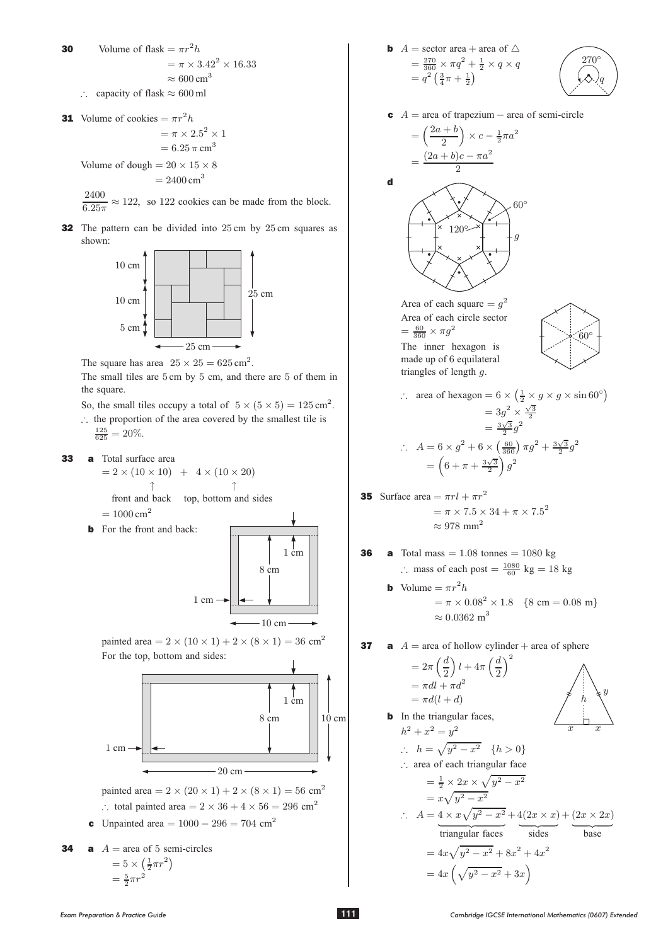- Volume of flask =  $\pi r^2 h$ 30  $=\pi \times 3.42^{2} \times 16.33$  $\approx 600 \text{ cm}^3$ 
	- $\therefore$  capacity of flask  $\approx 600$  ml
- **31** Volume of cookies  $= \pi r^2 h$

$$
= \pi \times 2.5^2 \times 1
$$

$$
= 6.25 \pi \text{ cm}^3
$$

Volume of dough =  $20 \times 15 \times 8$  $= 2400 \text{ cm}^3$ 

 $\frac{2400}{6.25\pi}$   $\approx$  122, so 122 cookies can be made from the block.

**32** The pattern can be divided into 25 cm by 25 cm squares as shown:



The square has area  $25 \times 25 = 625 \text{ cm}^2$ .

The small tiles are 5 cm by 5 cm, and there are 5 of them in the square.

So, the small tiles occupy a total of  $5 \times (5 \times 5) = 125 \text{ cm}^2$ .

: the proportion of the area covered by the smallest tile is

 $\frac{125}{625} = 20\%.$ 

33 a Total surface area  $= 2 \times (10 \times 10) + 4 \times (10 \times 20)$  $\uparrow$ 

front and back top, bottom and sides  $= 1000 \text{ cm}^2$ 

**b** For the front and back:



painted area =  $2 \times (10 \times 1) + 2 \times (8 \times 1) = 36$  cm<sup>2</sup> For the top, bottom and sides:



painted area =  $2 \times (20 \times 1) + 2 \times (8 \times 1) = 56$  cm<sup>2</sup>  $\therefore$  total painted area = 2 × 36 + 4 × 56 = 296 cm<sup>2</sup>

**c** Unpaired area = 
$$
1000 - 296 = 704
$$
 cm<sup>2</sup>

**34 a** 
$$
A = \text{area of 5 semi-circles}
$$
  
=  $5 \times \left(\frac{1}{2}\pi r^2\right)$   
=  $\frac{5}{2}\pi r^2$ 

**b** 
$$
A =
$$
 sector area + area of  $\triangle$   
\n
$$
= \frac{270}{360} \times \pi q^2 + \frac{1}{2} \times q \times q
$$
\n
$$
= q^2 \left(\frac{3}{4}\pi + \frac{1}{2}\right)
$$

$$
\begin{pmatrix} 270^{\circ} \\ \diamondsuit \diamondsuit q \end{pmatrix}
$$

$$
A = \text{area of trapezium} - \text{area of semi-circle}
$$

$$
= \left(\frac{2a+b}{2}\right) \times c - \frac{1}{2}\pi a^2
$$

$$
(2a+b)c - \pi a^2
$$

 $\mathbf d$ 



Area of each square  $= g^2$ Area of each circle sector  $=\frac{60}{360}\times \pi g^2$ The inner hexagon is made up of 6 equilateral triangles of length  $g$ .



$$
\therefore \text{ area of hexagon} = 6 \times \left(\frac{1}{2} \times g \times g \times \sin 60^{\circ}\right)
$$

$$
= 3g^2 \times \frac{\sqrt{3}}{2}
$$

$$
= \frac{3\sqrt{3}}{2}g^2
$$

$$
\therefore A = 6 \times g^2 + 6 \times \left(\frac{60}{360}\right)\pi g^2 + \frac{3\sqrt{3}}{2}g^2
$$

$$
= \left(6 + \pi + \frac{3\sqrt{3}}{2}\right)g^2
$$

**35** Surface area = 
$$
\pi rl + \pi r^2
$$
  
=  $\pi \times 7.5 \times 34 + \pi \times 7.5^2$   
 $\approx 978$  mm<sup>2</sup>

**36 a** Total mass = 1.08 tonnes = 1080 kg  
\n∴ mass of each post = 
$$
\frac{1080}{60}
$$
 kg = 18 kg

**b** Volume =  $\pi r^2 h$  $= \pi \times 0.08^{2} \times 1.8$  {8 cm = 0.08 m}  $\approx 0.0362~\text{m}^3$ 

37 **a** 
$$
A = \text{area of hollow cylinder} + \text{area of sphere}
$$
  
=  $2\pi \left(\frac{d}{2}\right)l + 4\pi \left(\frac{d}{2}\right)^2$   
=  $\pi dl + \pi d^2$ 

$$
= \pi d(l + d)
$$
  
In the triangular faces,  

$$
h^{2} + x^{2} = y^{2}
$$
  
∴ 
$$
h = \sqrt{y^{2} - x^{2}} \quad \{h > 0\}
$$
  
∴ area of each triangular face  

$$
= \frac{1}{2} \times 2x \times \sqrt{y^{2} - x^{2}}
$$

$$
= x\sqrt{y^{2} - x^{2}}
$$

$$
= x\sqrt{y^{2} - x^{2}} + 4(2x \times x) + (2x \times 2x)
$$
  
triangular faces sides  

$$
= 4x\sqrt{y^{2} - x^{2}} + 8x^{2} + 4x^{2}
$$

$$
= 4x(\sqrt{y^{2} - x^{2}} + 3x)
$$

 $\mathbf{h}$